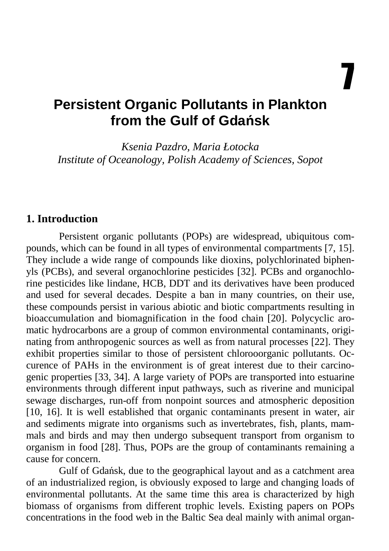7

# **Persistent Organic Pollutants in Plankton from the Gulf of Gda**ń**sk**

*Ksenia Pazdro, Maria Łotocka Institute of Oceanology, Polish Academy of Sciences, Sopot* 

#### **1. Introduction**

Persistent organic pollutants (POPs) are widespread, ubiquitous compounds, which can be found in all types of environmental compartments [7, 15]. They include a wide range of compounds like dioxins, polychlorinated biphenyls (PCBs), and several organochlorine pesticides [32]. PCBs and organochlorine pesticides like lindane, HCB, DDT and its derivatives have been produced and used for several decades. Despite a ban in many countries, on their use, these compounds persist in various abiotic and biotic compartments resulting in bioaccumulation and biomagnification in the food chain [20]. Polycyclic aromatic hydrocarbons are a group of common environmental contaminants, originating from anthropogenic sources as well as from natural processes [22]. They exhibit properties similar to those of persistent chlorooorganic pollutants. Occurence of PAHs in the environment is of great interest due to their carcinogenic properties [33, 34]. A large variety of POPs are transported into estuarine environments through different input pathways, such as riverine and municipal sewage discharges, run-off from nonpoint sources and atmospheric deposition [10, 16]. It is well established that organic contaminants present in water, air and sediments migrate into organisms such as invertebrates, fish, plants, mammals and birds and may then undergo subsequent transport from organism to organism in food [28]. Thus, POPs are the group of contaminants remaining a cause for concern.

Gulf of Gdańsk, due to the geographical layout and as a catchment area of an industrialized region, is obviously exposed to large and changing loads of environmental pollutants. At the same time this area is characterized by high biomass of organisms from different trophic levels. Existing papers on POPs concentrations in the food web in the Baltic Sea deal mainly with animal organ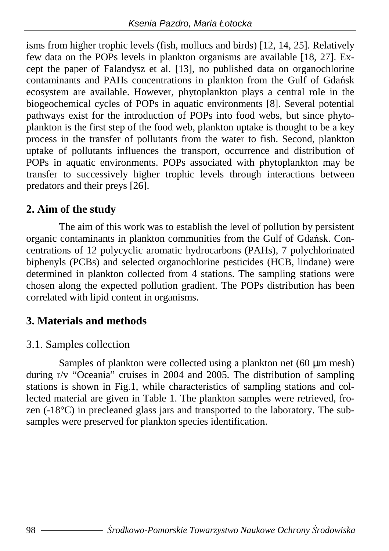isms from higher trophic levels (fish, mollucs and birds) [12, 14, 25]. Relatively few data on the POPs levels in plankton organisms are available [18, 27]. Except the paper of Falandysz et al. [13], no published data on organochlorine contaminants and PAHs concentrations in plankton from the Gulf of Gdańsk ecosystem are available. However, phytoplankton plays a central role in the biogeochemical cycles of POPs in aquatic environments [8]. Several potential pathways exist for the introduction of POPs into food webs, but since phytoplankton is the first step of the food web, plankton uptake is thought to be a key process in the transfer of pollutants from the water to fish. Second, plankton uptake of pollutants influences the transport, occurrence and distribution of POPs in aquatic environments. POPs associated with phytoplankton may be transfer to successively higher trophic levels through interactions between predators and their preys [26].

#### **2. Aim of the study**

The aim of this work was to establish the level of pollution by persistent organic contaminants in plankton communities from the Gulf of Gdańsk. Concentrations of 12 polycyclic aromatic hydrocarbons (PAHs), 7 polychlorinated biphenyls (PCBs) and selected organochlorine pesticides (HCB, lindane) were determined in plankton collected from 4 stations. The sampling stations were chosen along the expected pollution gradient. The POPs distribution has been correlated with lipid content in organisms.

#### **3. Materials and methods**

#### 3.1. Samples collection

Samples of plankton were collected using a plankton net  $(60 \mu m \text{ mesh})$ during r/v "Oceania" cruises in 2004 and 2005. The distribution of sampling stations is shown in Fig.1, while characteristics of sampling stations and collected material are given in Table 1. The plankton samples were retrieved, frozen (-18°C) in precleaned glass jars and transported to the laboratory. The subsamples were preserved for plankton species identification.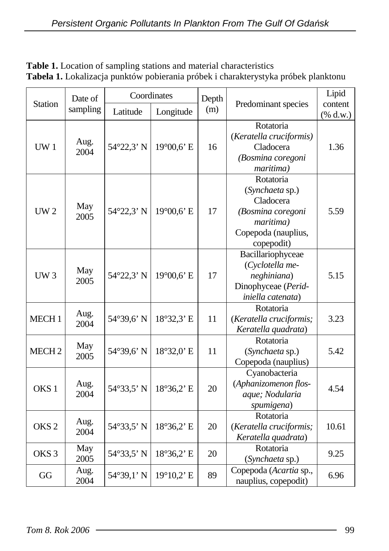|                   | Date of      |            | Coordinates | Depth |                                                                                                                  | Lipid                                |
|-------------------|--------------|------------|-------------|-------|------------------------------------------------------------------------------------------------------------------|--------------------------------------|
| <b>Station</b>    | sampling     | Latitude   | Longitude   | (m)   | Predominant species                                                                                              | content<br>$(% \mathbf{A})$ (% d.w.) |
| UW1               | Aug.<br>2004 | 54°22,3' N | 19°00,6' E  | 16    | Rotatoria<br>(Keratella cruciformis)<br>Cladocera<br>(Bosmina coregoni<br>maritima)                              | 1.36                                 |
| UW2               | May<br>2005  | 54°22,3' N | 19°00,6' E  | 17    | Rotatoria<br>(Synchaeta sp.)<br>Cladocera<br>(Bosmina coregoni<br>maritima)<br>Copepoda (nauplius,<br>copepodit) | 5.59                                 |
| UW3               | May<br>2005  | 54°22,3' N | 19°00,6' E  | 17    | Bacillariophyceae<br>(Cyclotella me-<br>neghiniana)<br>Dinophyceae (Perid-<br>iniella catenata)                  | 5.15                                 |
| MECH <sub>1</sub> | Aug.<br>2004 | 54°39,6' N | 18°32,3' E  | 11    | Rotatoria<br>(Keratella cruciformis;<br>Keratella quadrata)                                                      | 3.23                                 |
| MECH <sub>2</sub> | May<br>2005  | 54°39,6' N | 18°32,0' E  | 11    | Rotatoria<br>(Synchaeta sp.)<br>Copepoda (nauplius)                                                              | 5.42                                 |
| OKS <sub>1</sub>  | Aug.<br>2004 | 54°33,5' N | 18°36,2' E  | 20    | Cyanobacteria<br>(Aphanizomenon flos-<br>aque; Nodularia<br>spumigena)                                           | 4.54                                 |
| OKS <sub>2</sub>  | Aug.<br>2004 | 54°33,5' N | 18°36,2' E  | 20    | Rotatoria<br>(Keratella cruciformis;<br>Keratella quadrata)                                                      | 10.61                                |
| OKS <sub>3</sub>  | May<br>2005  | 54°33,5' N | 18°36,2' E  | 20    | Rotatoria<br>(Synchaeta sp.)                                                                                     | 9.25                                 |
| GG                | Aug.<br>2004 | 54°39,1' N | 19°10,2' E  | 89    | Copepoda (Acartia sp.,<br>nauplius, copepodit)                                                                   | 6.96                                 |

**Table 1.** Location of sampling stations and material characteristics **Tabela 1.** Lokalizacja punktów pobierania próbek i charakterystyka próbek planktonu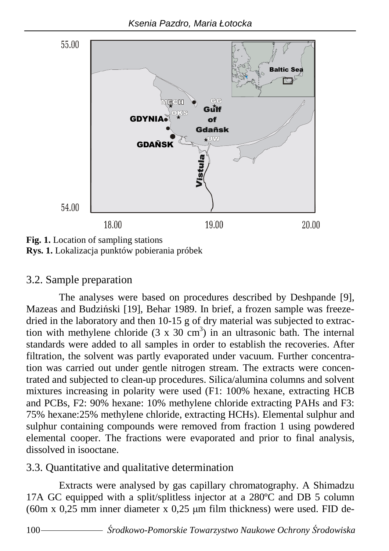

**Fig. 1.** Location of sampling stations **Rys. 1.** Lokalizacja punktów pobierania próbek

#### 3.2. Sample preparation

The analyses were based on procedures described by Deshpande [9], Mazeas and Budziński [19], Behar 1989. In brief, a frozen sample was freezedried in the laboratory and then 10-15 g of dry material was subjected to extraction with methylene chloride  $(3 \times 30 \text{ cm}^3)$  in an ultrasonic bath. The internal standards were added to all samples in order to establish the recoveries. After filtration, the solvent was partly evaporated under vacuum. Further concentration was carried out under gentle nitrogen stream. The extracts were concentrated and subjected to clean-up procedures. Silica/alumina columns and solvent mixtures increasing in polarity were used (F1: 100% hexane, extracting HCB and PCBs, F2: 90% hexane: 10% methylene chloride extracting PAHs and F3: 75% hexane:25% methylene chloride, extracting HCHs). Elemental sulphur and sulphur containing compounds were removed from fraction 1 using powdered elemental cooper. The fractions were evaporated and prior to final analysis, dissolved in isooctane.

#### 3.3. Quantitative and qualitative determination

Extracts were analysed by gas capillary chromatography. A Shimadzu 17A GC equipped with a split/splitless injector at a 280ºC and DB 5 column (60m x 0,25 mm inner diameter x 0,25  $\mu$ m film thickness) were used. FID de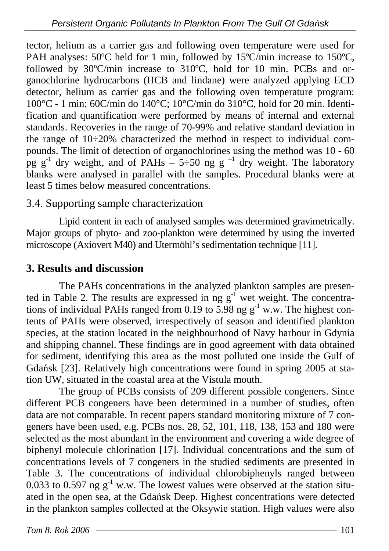tector, helium as a carrier gas and following oven temperature were used for PAH analyses: 50°C held for 1 min, followed by 15°C/min increase to 150°C, followed by 30ºC/min increase to 310ºC, hold for 10 min. PCBs and organochlorine hydrocarbons (HCB and lindane) were analyzed applying ECD detector, helium as carrier gas and the following oven temperature program: 100°C - 1 min; 60C/min do 140°C; 10°C/min do 310°C, hold for 20 min. Identification and quantification were performed by means of internal and external standards. Recoveries in the range of 70-99% and relative standard deviation in the range of  $10\div 20\%$  characterized the method in respect to individual compounds. The limit of detection of organochlorines using the method was 10 - 60 pg  $g^{-1}$  dry weight, and of PAHs – 5÷50 ng g<sup>-1</sup> dry weight. The laboratory blanks were analysed in parallel with the samples. Procedural blanks were at least 5 times below measured concentrations.

#### 3.4. Supporting sample characterization

Lipid content in each of analysed samples was determined gravimetrically. Major groups of phyto- and zoo-plankton were determined by using the inverted microscope (Axiovert M40) and Utermöhl's sedimentation technique [11].

#### **3. Results and discussion**

The PAHs concentrations in the analyzed plankton samples are presented in Table 2. The results are expressed in ng  $g<sup>1</sup>$  wet weight. The concentrations of individual PAHs ranged from 0.19 to 5.98 ng  $g^{-1}$  w.w. The highest contents of PAHs were observed, irrespectively of season and identified plankton species, at the station located in the neighbourhood of Navy harbour in Gdynia and shipping channel. These findings are in good agreement with data obtained for sediment, identifying this area as the most polluted one inside the Gulf of Gdańsk [23]. Relatively high concentrations were found in spring 2005 at station UW, situated in the coastal area at the Vistula mouth.

The group of PCBs consists of 209 different possible congeners. Since different PCB congeners have been determined in a number of studies, often data are not comparable. In recent papers standard monitoring mixture of 7 congeners have been used, e.g. PCBs nos. 28, 52, 101, 118, 138, 153 and 180 were selected as the most abundant in the environment and covering a wide degree of biphenyl molecule chlorination [17]. Individual concentrations and the sum of concentrations levels of 7 congeners in the studied sediments are presented in Table 3. The concentrations of individual chlorobiphenyls ranged between 0.033 to 0.597 ng  $g^{-1}$  w.w. The lowest values were observed at the station situated in the open sea, at the Gdańsk Deep. Highest concentrations were detected in the plankton samples collected at the Oksywie station. High values were also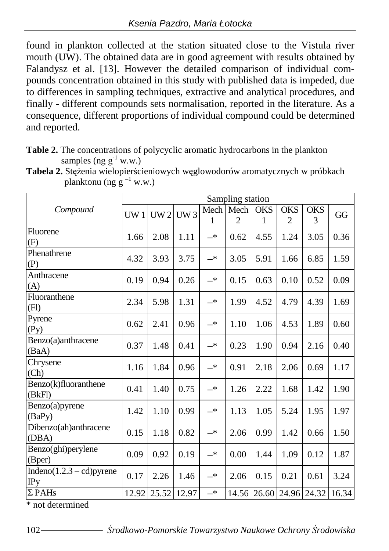found in plankton collected at the station situated close to the Vistula river mouth ( $U\hat{W}$ ). The obtained data are in good agreement with results obtained by Falandysz et al. [13]. However the detailed comparison of individual compounds concentration obtained in this study with published data is impeded, due to differences in sampling techniques, extractive and analytical procedures, and finally - different compounds sets normalisation, reported in the literature. As a consequence, different proportions of individual compound could be determined and reported.

**Table 2.** The concentrations of polycyclic aromatic hydrocarbons in the plankton samples (ng  $g^{-1}$  w.w.)

|                                            | Sampling station |                   |      |            |                |                 |                         |            |       |  |
|--------------------------------------------|------------------|-------------------|------|------------|----------------|-----------------|-------------------------|------------|-------|--|
|                                            |                  |                   |      | Mech       | Mech           |                 | <b>OKS</b>              | <b>OKS</b> |       |  |
| Compound                                   | UW1              | UW2               | UW3  | 1          | $\overline{c}$ | <b>OKS</b><br>1 | $\overline{c}$          | 3          | GG    |  |
| Fluorene<br>(F)                            | 1.66             | 2.08              | 1.11 | $-^{\ast}$ | 0.62           | 4.55            | 1.24                    | 3.05       | 0.36  |  |
| Phenathrene<br>(P)                         | 4.32             | 3.93              | 3.75 | $-*$       | 3.05           | 5.91            | 1.66                    | 6.85       | 1.59  |  |
| Anthracene<br>(A)                          | 0.19             | 0.94              | 0.26 | $-*$       | 0.15           | 0.63            | 0.10                    | 0.52       | 0.09  |  |
| Fluoranthene<br>(F1)                       | 2.34             | 5.98              | 1.31 | $-^{\ast}$ | 1.99           | 4.52            | 4.79                    | 4.39       | 1.69  |  |
| Pyrene<br>(Py)                             | 0.62             | 2.41              | 0.96 | $-*$       | 1.10           | 1.06            | 4.53                    | 1.89       | 0.60  |  |
| Benzo(a)anthracene<br>(BaA)                | 0.37             | 1.48              | 0.41 | $-*$       | 0.23           | 1.90            | 0.94                    | 2.16       | 0.40  |  |
| Chrysene<br>(Ch)                           | 1.16             | 1.84              | 0.96 | $-*$       | 0.91           | 2.18            | 2.06                    | 0.69       | 1.17  |  |
| Benzo(k)fluoranthene<br>(BkF)              | 0.41             | 1.40              | 0.75 | $-*$       | 1.26           | 2.22            | 1.68                    | 1.42       | 1.90  |  |
| Benzo(a)pyrene<br>(BaPy)                   | 1.42             | 1.10              | 0.99 | $-*$       | 1.13           | 1.05            | 5.24                    | 1.95       | 1.97  |  |
| Dibenzo(ah)anthracene<br>(DBA)             | 0.15             | 1.18              | 0.82 | $-*$       | 2.06           | 0.99            | 1.42                    | 0.66       | 1.50  |  |
| Benzo(ghi)perylene<br>(Bper)               | 0.09             | 0.92              | 0.19 | $-*$       | 0.00           | 1.44            | 1.09                    | 0.12       | 1.87  |  |
| Indeno $(1.2.3 - cd)$ pyrene<br><b>IPy</b> | 0.17             | 2.26              | 1.46 | $-*$       | 2.06           | 0.15            | 0.21                    | 0.61       | 3.24  |  |
| $\Sigma$ PAHs                              |                  | 12.92 25.52 12.97 |      | $-*$       |                |                 | 14.56 26.60 24.96 24.32 |            | 16.34 |  |

Tabela 2. Stężenia wielopierścieniowych węglowodorów aromatycznych w próbkach planktonu (ng  $g^{-1}$  w.w.)

\* not determined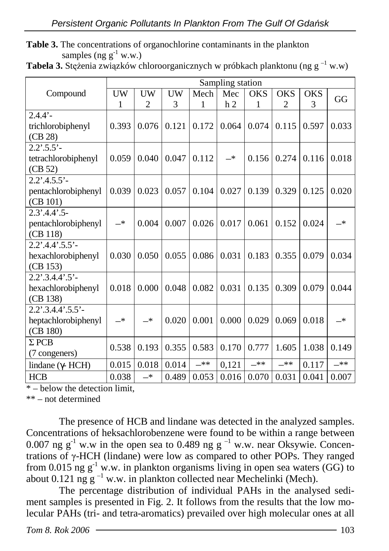**Table 3.** The concentrations of organochlorine contaminants in the plankton samples (ng  $g^{-1}$  w.w.)

|  | <b>Tabela 3.</b> Stężenia związków chloroorganicznych w próbkach planktonu (ng $g^{-1}$ w.w) |  |
|--|----------------------------------------------------------------------------------------------|--|
|  |                                                                                              |  |

|                           | Sampling station |                |           |       |                |            |                |            |               |  |
|---------------------------|------------------|----------------|-----------|-------|----------------|------------|----------------|------------|---------------|--|
| Compound                  | UW               | UW             | <b>UW</b> | Mech  | Mec            | <b>OKS</b> | <b>OKS</b>     | <b>OKS</b> | GG            |  |
|                           | 1                | $\overline{2}$ | 3         | 1     | h <sub>2</sub> | 1          | $\overline{2}$ | 3          |               |  |
| $2.4.4' -$                |                  |                |           |       |                |            |                |            |               |  |
| trichlorobiphenyl         | 0.393            | 0.076          | 0.121     | 0.172 | 0.064          | 0.074      | 0.115          | 0.597      | 0.033         |  |
| (CB 28)                   |                  |                |           |       |                |            |                |            |               |  |
| $2.2^{\circ}.5.5^{\circ}$ |                  |                |           |       |                |            |                |            |               |  |
| tetrachlorobiphenyl       | 0.059            | 0.040          | 0.047     | 0.112 | —*             | 0.156      | 0.274          | 0.116      | 0.018         |  |
| (CB 52)                   |                  |                |           |       |                |            |                |            |               |  |
| $2.2'$ : 4.5.5' -         |                  |                |           |       |                |            |                |            |               |  |
| pentachlorobiphenyl       | 0.039            | 0.023          | 0.057     | 0.104 | 0.027          | 0.139      | 0.329          | 0.125      | 0.020         |  |
| (CB 101)                  |                  |                |           |       |                |            |                |            |               |  |
| $2.3'$ : 4.4'.5-          |                  |                |           |       |                |            |                |            |               |  |
| pentachlorobiphenyl       | $-*$             | 0.004          | 0.007     | 0.026 | 0.017          | 0.061      | 0.152          | 0.024      | $-*$          |  |
| (CB 118)                  |                  |                |           |       |                |            |                |            |               |  |
| $2.2'$ : 4.4': $5.5'$ -   |                  |                |           |       |                |            |                |            |               |  |
| hexachlorobiphenyl        | 0.030            | 0.050          | 0.055     | 0.086 | 0.031          | 0.183      | 0.355          | 0.079      | 0.034         |  |
| (CB 153)                  |                  |                |           |       |                |            |                |            |               |  |
| $2.2' .3.4.4' .5' -$      |                  |                |           |       |                |            |                |            |               |  |
| hexachlorobiphenyl        | 0.018            | 0.000          | 0.048     | 0.082 | 0.031          | 0.135      | 0.309          | 0.079      | 0.044         |  |
| (CB 138)                  |                  |                |           |       |                |            |                |            |               |  |
| $2.2'$ .3.4.4' .5.5' -    |                  |                |           |       |                |            |                |            |               |  |
| heptachlorobiphenyl       | $\rightarrow$    | $-*$           | 0.020     | 0.001 | 0.000          | 0.029      | 0.069          | 0.018      | $\rightarrow$ |  |
| (CB 180)                  |                  |                |           |       |                |            |                |            |               |  |
| $\Sigma$ PCB              | 0.538            | 0.193          | 0.355     | 0.583 | 0.170          | 0.777      | 1.605          | 1.038      | 0.149         |  |
| (7 congeners)             |                  |                |           |       |                |            |                |            |               |  |
| lindane ( $\gamma$ - HCH) | 0.015            | 0.018          | 0.014     | $-**$ | 0,121          | $-**$      | $-**$          | 0.117      | $***$         |  |
| <b>HCB</b>                | 0.038            | $-*$           | 0.489     | 0.053 | 0.016          | 0.070      | 0.031          | 0.041      | 0.007         |  |

\* – below the detection limit,

\*\* – not determined

The presence of HCB and lindane was detected in the analyzed samples. Concentrations of heksachlorobenzene were found to be within a range between 0.007 ng g<sup>-1</sup> w.w in the open sea to 0.489 ng g<sup>-1</sup> w.w. near Oksywie. Concentrations of γ-HCH (lindane) were low as compared to other POPs. They ranged from 0.015 ng  $g^{-1}$  w.w. in plankton organisms living in open sea waters (GG) to about 0.121 ng  $g^{-1}$  w.w. in plankton collected near Mechelinki (Mech).

The percentage distribution of individual PAHs in the analysed sediment samples is presented in Fig. 2. It follows from the results that the low molecular PAHs (tri- and tetra-aromatics) prevailed over high molecular ones at all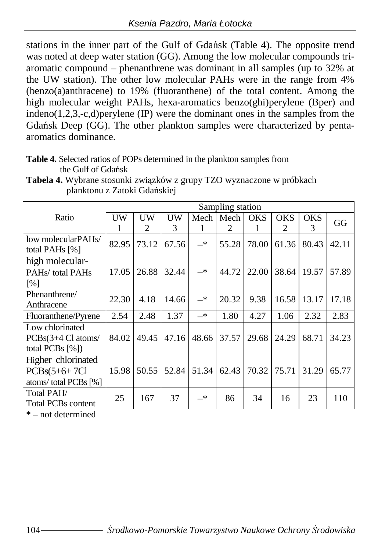stations in the inner part of the Gulf of Gdańsk (Table 4). The opposite trend was noted at deep water station (GG). Among the low molecular compounds triaromatic compound – phenanthrene was dominant in all samples (up to 32% at the UW station). The other low molecular PAHs were in the range from 4% (benzo(a)anthracene) to 19% (fluoranthene) of the total content. Among the high molecular weight PAHs, hexa-aromatics benzo(ghi)perylene (Bper) and indeno(1,2,3,-c,d)perylene (IP) were the dominant ones in the samples from the Gdańsk Deep (GG). The other plankton samples were characterized by pentaaromatics dominance.

**Table 4.** Selected ratios of POPs determined in the plankton samples from the Gulf of Gdańsk

| planktonu z Zatoki Gdańskiej         |                  |                     |    |       |                                              |  |  |  |    |
|--------------------------------------|------------------|---------------------|----|-------|----------------------------------------------|--|--|--|----|
|                                      | Sampling station |                     |    |       |                                              |  |  |  |    |
| Ratio                                | UW               |                     | UW |       | Mech   Mech   OKS   OKS   OKS                |  |  |  | GG |
|                                      |                  |                     |    |       |                                              |  |  |  |    |
| low molecularPAHs/<br>total PAHs [%] |                  | $82.95$ 73.12 67.56 |    | $-$ * | $\mid$ 55.28   78.00   61.36   80.43   42.11 |  |  |  |    |

**Tabela 4.** Wybrane stosunki związków z grupy TZO wyznaczone w próbkach planktonu z Zatoki Gdańskiej

| low molecularPAHs/<br>total PAHs [%]                                 | 82.95 | 73.12 | 67.56 | $-*$          | 55.28 | 78.00 | 61.36 | 80.43 | 42.11 |
|----------------------------------------------------------------------|-------|-------|-------|---------------|-------|-------|-------|-------|-------|
| high molecular-                                                      |       |       |       |               |       |       |       |       |       |
| PAHs/total PAHs                                                      | 17.05 | 26.88 | 32.44 | $-$ *         | 44.72 | 22.00 | 38.64 | 19.57 | 57.89 |
| [%]                                                                  |       |       |       |               |       |       |       |       |       |
| Phenanthrene/<br>Anthracene                                          | 22.30 | 4.18  | 14.66 | $\rightarrow$ | 20.32 | 9.38  | 16.58 | 13.17 | 17.18 |
| Fluoranthene/Pyrene                                                  | 2.54  | 2.48  | 1.37  | $-$ *         | 1.80  | 4.27  | 1.06  | 2.32  | 2.83  |
| Low chlorinated<br>$PCBs(3+4 \text{ Cl atoms})$<br>total PCBs $[\%]$ | 84.02 | 49.45 | 47.16 | 48.66         | 37.57 | 29.68 | 24.29 | 68.71 | 34.23 |
| Higher chlorinated                                                   |       |       |       |               |       |       |       |       |       |
| $PCBs(5+6+7Cl)$                                                      | 15.98 | 50.55 | 52.84 | 51.34         | 62.43 | 70.32 | 75.71 | 31.29 | 65.77 |
| atoms/total PCBs [%]                                                 |       |       |       |               |       |       |       |       |       |
| Total PAH/<br><b>Total PCBs content</b>                              | 25    | 167   | 37    | —*            | 86    | 34    | 16    | 23    | 110   |

\* – not determined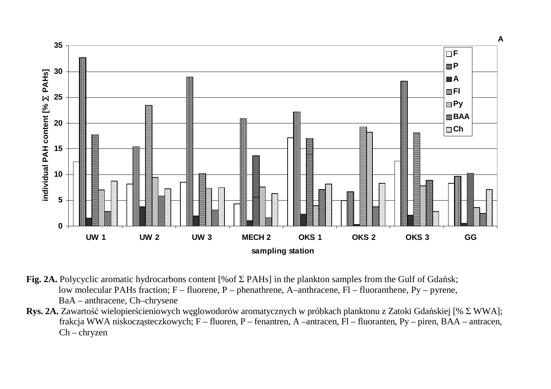

- **Fig. 2A.** Polycyclic aromatic hydrocarbons content [%of Σ PAHs] in the plankton samples from the Gulf of Gdańsk; low molecular PAHs fraction; F – fluorene, P – phenathrene, A–anthracene, Fl – fluoranthene, Py – pyrene, BaA – anthracene, Ch–chrysene
- **Rys. 2A.** Zawartość wielopierścieniowych węglowodorów aromatycznych w próbkach planktonu z Zatoki Gdańskiej [% Σ WWA]; frakcja WWA niskocząsteczkowych; F – fluoren, P – fenantren, A –antracen, Fl – fluoranten, Py – piren, BAA – antracen, Ch – chryzen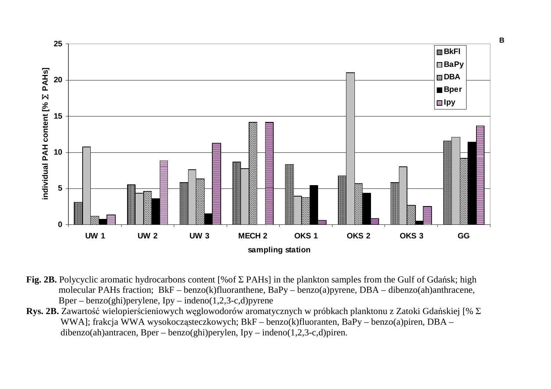

- **Fig. 2B.** Polycyclic aromatic hydrocarbons content [%of Σ PAHs] in the plankton samples from the Gulf of Gdańsk; high molecular PAHs fraction; BkF – benzo(k)fluoranthene, BaPy – benzo(a)pyrene, DBA – dibenzo(ah)anthracene, Bper – benzo(ghi)perylene,  $Ipy$  – indeno(1,2,3-c,d)pyrene
- **Rys. 2B.** Zawartość wielopierścieniowych węglowodorów aromatycznych w próbkach planktonu z Zatoki Gdańskiej [% ΣWWA]; frakcja WWA wysokocząsteczkowych; BkF – benzo(k)fluoranten, BaPy – benzo(a)piren, DBA – dibenzo(ah)antracen, Bper – benzo(ghi)perylen, Ipy – indeno(1,2,3-c,d)piren.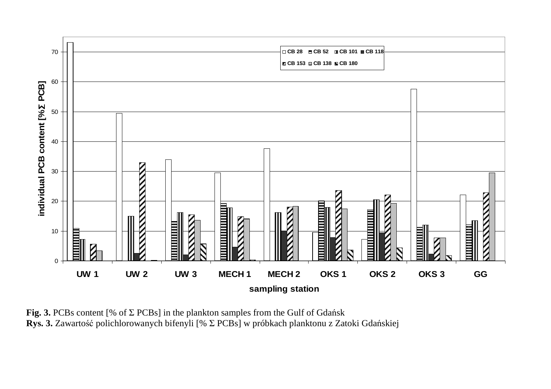

**Fig. 3.** PCBs content [% of Σ PCBs] in the plankton samples from the Gulf of Gdańsk **Rys. 3.** Zawartość polichlorowanych bifenyli [% Σ PCBs] w próbkach planktonu z Zatoki Gdańskiej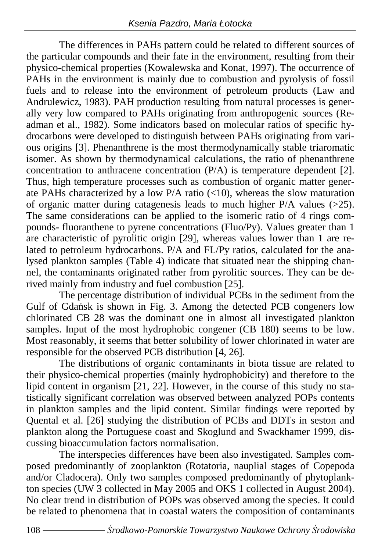The differences in PAHs pattern could be related to different sources of the particular compounds and their fate in the environment, resulting from their physico-chemical properties (Kowalewska and Konat, 1997). The occurrence of PAHs in the environment is mainly due to combustion and pyrolysis of fossil fuels and to release into the environment of petroleum products (Law and Andrulewicz, 1983). PAH production resulting from natural processes is generally very low compared to PAHs originating from anthropogenic sources (Readman et al., 1982). Some indicators based on molecular ratios of specific hydrocarbons were developed to distinguish between PAHs originating from various origins [3]. Phenanthrene is the most thermodynamically stable triaromatic isomer. As shown by thermodynamical calculations, the ratio of phenanthrene concentration to anthracene concentration (P/A) is temperature dependent [2]. Thus, high temperature processes such as combustion of organic matter generate PAHs characterized by a low P/A ratio (<10), whereas the slow maturation of organic matter during catagenesis leads to much higher P/A values (>25). The same considerations can be applied to the isomeric ratio of 4 rings compounds- fluoranthene to pyrene concentrations (Fluo/Py). Values greater than 1 are characteristic of pyrolitic origin [29], whereas values lower than 1 are related to petroleum hydrocarbons. P/A and FL/Py ratios, calculated for the analysed plankton samples (Table 4) indicate that situated near the shipping channel, the contaminants originated rather from pyrolitic sources. They can be derived mainly from industry and fuel combustion [25].

The percentage distribution of individual PCBs in the sediment from the Gulf of Gdańsk is shown in Fig. 3. Among the detected PCB congeners low chlorinated CB 28 was the dominant one in almost all investigated plankton samples. Input of the most hydrophobic congener (CB 180) seems to be low. Most reasonably, it seems that better solubility of lower chlorinated in water are responsible for the observed PCB distribution [4, 26].

The distributions of organic contaminants in biota tissue are related to their physico-chemical properties (mainly hydrophobicity) and therefore to the lipid content in organism [21, 22]. However, in the course of this study no statistically significant correlation was observed between analyzed POPs contents in plankton samples and the lipid content. Similar findings were reported by Quental et al. [26] studying the distribution of PCBs and DDTs in seston and plankton along the Portuguese coast and Skoglund and Swackhamer 1999, discussing bioaccumulation factors normalisation.

The interspecies differences have been also investigated. Samples composed predominantly of zooplankton (Rotatoria, nauplial stages of Copepoda and/or Cladocera). Only two samples composed predominantly of phytoplankton species (UW 3 collected in May 2005 and OKS 1 collected in August 2004). No clear trend in distribution of POPs was observed among the species. It could be related to phenomena that in coastal waters the composition of contaminants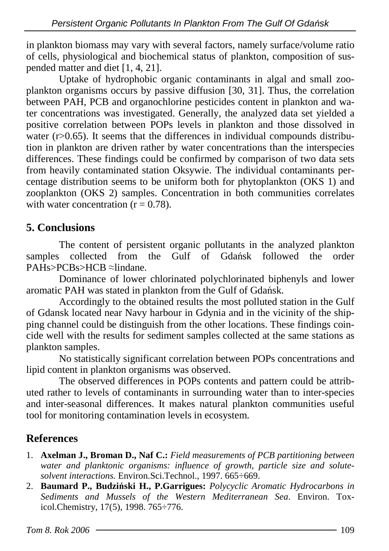in plankton biomass may vary with several factors, namely surface/volume ratio of cells, physiological and biochemical status of plankton, composition of suspended matter and diet [1, 4, 21].

Uptake of hydrophobic organic contaminants in algal and small zooplankton organisms occurs by passive diffusion [30, 31]. Thus, the correlation between PAH, PCB and organochlorine pesticides content in plankton and water concentrations was investigated. Generally, the analyzed data set yielded a positive correlation between POPs levels in plankton and those dissolved in water  $(r>0.65)$ . It seems that the differences in individual compounds distribution in plankton are driven rather by water concentrations than the interspecies differences. These findings could be confirmed by comparison of two data sets from heavily contaminated station Oksywie. The individual contaminants percentage distribution seems to be uniform both for phytoplankton (OKS 1) and zooplankton (OKS 2) samples. Concentration in both communities correlates with water concentration  $(r = 0.78)$ .

### **5. Conclusions**

The content of persistent organic pollutants in the analyzed plankton samples collected from the Gulf of Gdańsk followed the order PAHs>PCBs>HCB ≈lindane.

Dominance of lower chlorinated polychlorinated biphenyls and lower aromatic PAH was stated in plankton from the Gulf of Gdańsk.

Accordingly to the obtained results the most polluted station in the Gulf of Gdansk located near Navy harbour in Gdynia and in the vicinity of the shipping channel could be distinguish from the other locations. These findings coincide well with the results for sediment samples collected at the same stations as plankton samples.

No statistically significant correlation between POPs concentrations and lipid content in plankton organisms was observed.

The observed differences in POPs contents and pattern could be attributed rather to levels of contaminants in surrounding water than to inter-species and inter-seasonal differences. It makes natural plankton communities useful tool for monitoring contamination levels in ecosystem.

### **References**

- 1. **Axelman J., Broman D., Naf C.:** *Field measurements of PCB partitioning between water and planktonic organisms: influence of growth, particle size and solutesolvent interactions.* Environ.Sci.Technol., 1997. 665÷669.
- 2. **Baumard P., Budzi**ń**ski H., P.Garrigues:** *Polycyclic Aromatic Hydrocarbons in Sediments and Mussels of the Western Mediterranean Sea*. Environ. Toxicol.Chemistry, 17(5), 1998. 765÷776.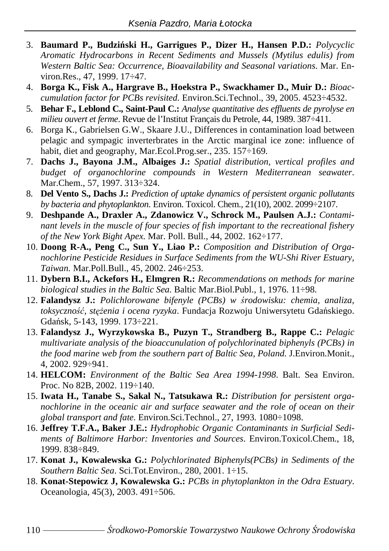- 3. **Baumard P., Budzi**ń**ski H., Garrigues P., Dizer H., Hansen P.D.:** *Polycyclic Aromatic Hydrocarbons in Recent Sediments and Mussels (Mytilus edulis) from Western Baltic Sea: Occurrence, Bioavailability and Seasonal variations*. Mar. Environ.Res., 47, 1999. 17÷47.
- 4. **Borga K., Fisk A., Hargrave B., Hoekstra P., Swackhamer D., Muir D.:** *Bioaccumulation factor for PCBs revisited.* Environ.Sci.Technol., 39, 2005. 4523÷4532.
- 5. **Behar F., Leblond C., Saint-Paul C.:** *Analyse quantitative des effluents de pyrolyse en milieu ouvert et ferme*. Revue de l'Institut Français du Petrole, 44, 1989. 387÷411.
- 6. Borga K., Gabrielsen G.W., Skaare J.U., Differences in contamination load between pelagic and sympagic inverterbrates in the Arctic marginal ice zone: influence of habit, diet and geography, Mar.Ecol.Prog.ser., 235. 157÷169.
- 7. **Dachs J., Bayona J.M., Albaiges J.:** *Spatial distribution, vertical profiles and budget of organochlorine compounds in Western Mediterranean seawater*. Mar.Chem., 57, 1997. 313÷324.
- 8. **Del Vento S., Dachs J.:** *Prediction of uptake dynamics of persistent organic pollutants by bacteria and phytoplankton.* Environ. Toxicol. Chem., 21(10), 2002. 2099÷2107.
- 9. **Deshpande A., Draxler A., Zdanowicz V., Schrock M., Paulsen A.J.:** *Contaminant levels in the muscle of four species of fish important to the recreational fishery of the New York Bight Apex.* Mar. Poll. Bull., 44, 2002. 162÷177.
- 10. **Doong R-A., Peng C., Sun Y., Liao P.:** *Composition and Distribution of Organochlorine Pesticide Residues in Surface Sediments from the WU-Shi River Estuary, Taiwan.* Mar.Poll.Bull., 45, 2002. 246÷253.
- 11. **Dybern B.I., Ackefors H., Elmgren R.:** *Recommendations on methods for marine biological studies in the Baltic Sea.* Baltic Mar.Biol.Publ., 1, 1976. 11÷98.
- 12. **Falandysz J.:** *Polichlorowane bifenyle (PCBs) w* ś*rodowisku: chemia, analiza, toksyczno*ść*, st*ęŜ*enia i ocena ryzyka*. Fundacja Rozwoju Uniwersytetu Gdańskiego. Gdańsk, 5-143, 1999. 173÷221.
- 13. **Falandysz J., Wyrzykowska B., Puzyn T., Strandberg B., Rappe C.:** *Pelagic multivariate analysis of the bioaccunulation of polychlorinated biphenyls (PCBs) in the food marine web from the southern part of Baltic Sea, Poland.* J.Environ.Monit., 4, 2002. 929÷941.
- 14. **HELCOM:** *Environment of the Baltic Sea Area 1994-1998*. Balt. Sea Environ. Proc. No 82B, 2002. 119÷140.
- 15. **Iwata H., Tanabe S., Sakal N., Tatsukawa R.:** *Distribution for persistent organochlorine in the oceanic air and surface seawater and the role of ocean on their global transport and fate.* Environ.Sci.Technol., 27, 1993. 1080÷1098.
- 16. **Jeffrey T.F.A., Baker J.E.:** *Hydrophobic Organic Contaminants in Surficial Sediments of Baltimore Harbor: Inventories and Sources*. Environ.Toxicol.Chem., 18, 1999. 838÷849.
- 17. **Konat J., Kowalewska G.:** *Polychlorinated Biphenyls(PCBs) in Sediments of the Southern Baltic Sea*. Sci.Tot.Environ., 280, 2001. 1÷15.
- 18. **Konat-Stepowicz J, Kowalewska G.:** *PCBs in phytoplankton in the Odra Estuary*. Oceanologia, 45(3), 2003. 491÷506.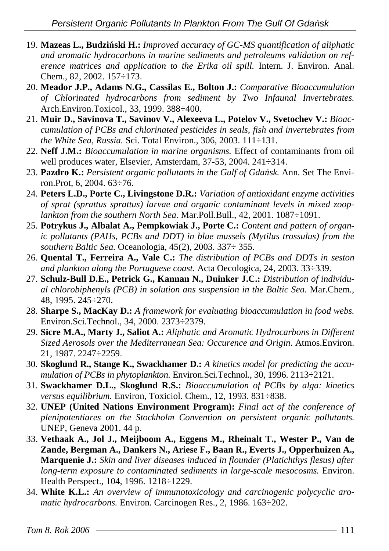- 19. **Mazeas L., Budzi**ń**ski H.:** *Improved accuracy of GC-MS quantification of aliphatic and aromatic hydrocarbons in marine sediments and petroleums validation on reference matrices and application to the Erika oil spill.* Intern. J. Environ. Anal. Chem., 82, 2002. 157÷173.
- 20. **Meador J.P., Adams N.G., Cassilas E., Bolton J.:** *Comparative Bioaccumulation of Chlorinated hydrocarbons from sediment by Two Infaunal Invertebrates.* Arch.Environ.Toxicol., 33, 1999. 388÷400.
- 21. **Muir D., Savinova T., Savinov V., Alexeeva L., Potelov V., Svetochev V.:** *Bioaccumulation of PCBs and chlorinated pesticides in seals, fish and invertebrates from the White Sea, Russia.* Sci. Total Environ., 306, 2003. 111÷131.
- 22. **Neff J.M.:** *Bioaccumulation in marine organisms.* Effect of contaminants from oil well produces water, Elsevier, Amsterdam, 37-53, 2004. 241÷314.
- 23. **Pazdro K.:** *Persistent organic pollutants in the Gulf of Gda*ń*sk.* Ann. Set The Environ.Prot, 6, 2004. 63÷76.
- 24. **Peters L.D., Porte C., Livingstone D.R.:** *Variation of antioxidant enzyme activities of sprat (sprattus sprattus) larvae and organic contaminant levels in mixed zooplankton from the southern North Sea.* Mar.Poll.Bull., 42, 2001. 1087÷1091.
- 25. **Potrykus J., Albalat A., Pempkowiak J., Porte C.:** *Content and pattern of organic pollutants (PAHs, PCBs and DDT) in blue mussels (Mytilus trossulus) from the southern Baltic Sea.* Oceanologia, 45(2), 2003. 337÷ 355.
- 26. **Quental T., Ferreira A., Vale C.:** *The distribution of PCBs and DDTs in seston and plankton along the Portuguese coast.* Acta Oecologica, 24, 2003. 33÷339.
- 27. **Schulz-Bull D.E., Petrick G., Kannan N., Duinker J.C.:** *Distribution of individual chlorobiphenyls (PCB) in solution ans suspension in the Baltic Sea.* Mar.Chem., 48, 1995. 245÷270.
- 28. **Sharpe S., MacKay D.:** *A framework for evaluating bioaccumulation in food webs.* Environ.Sci.Technol., 34, 2000. 2373÷2379.
- 29. **Sicre M.A., Marty J., Saliot A.:** *Aliphatic and Aromatic Hydrocarbons in Different Sized Aerosols over the Mediterranean Sea: Occurence and Origin*. Atmos.Environ. 21, 1987. 2247÷2259.
- 30. **Skoglund R., Stange K., Swackhamer D.:** *A kinetics model for predicting the accumulation of PCBs in phytoplankton.* Environ.Sci.Technol., 30, 1996. 2113÷2121.
- 31. **Swackhamer D.L., Skoglund R.S.:** *Bioaccumulation of PCBs by alga: kinetics versus equilibrium.* Environ, Toxiciol. Chem., 12, 1993. 831÷838.
- 32. **UNEP (United Nations Environment Program):** *Final act of the conference of plenipotentiares on the Stockholm Convention on persistent organic pollutants.* UNEP, Geneva 2001. 44 p.
- 33. **Vethaak A., Jol J., Meijboom A., Eggens M., Rheinalt T., Wester P., Van de Zande, Bergman A., Dankers N., Ariese F., Baan R., Everts J., Opperhuizen A., Marquenie J.:** *Skin and liver diseases induced in flounder (Platichthys flesus) after long-term exposure to contaminated sediments in large-scale mesocosms.* Environ. Health Perspect., 104, 1996. 1218÷1229.
- 34. **White K.L.:** *An overview of immunotoxicology and carcinogenic polycyclic aromatic hydrocarbons.* Environ. Carcinogen Res., 2, 1986. 163÷202.